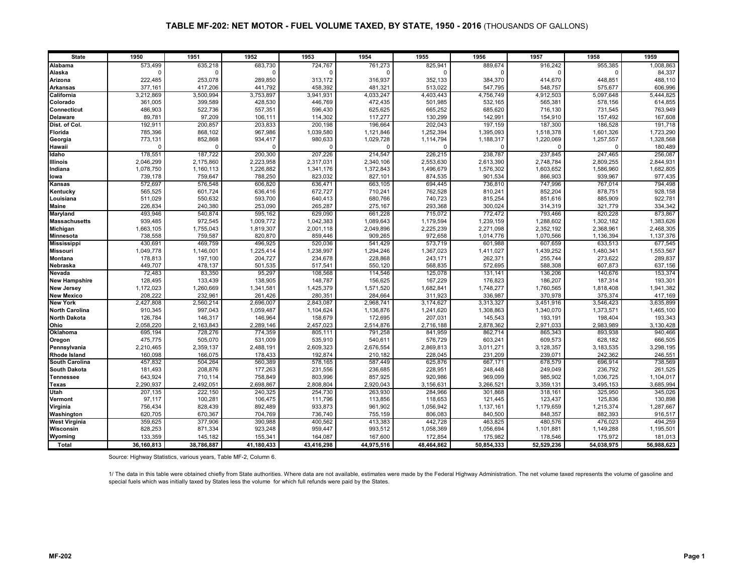| <b>State</b>          | 1950       | 1951       | 1952       | 1953       | 1954       | 1955       | 1956       | 1957       | 1958       | 1959       |
|-----------------------|------------|------------|------------|------------|------------|------------|------------|------------|------------|------------|
| Alabama               | 573,499    | 635,218    | 683,730    | 724,767    | 761,273    | 825,941    | 889,674    | 916,242    | 955,385    | 1,008,863  |
| Alaska                | $\Omega$   | $\Omega$   |            | $\Omega$   | $\Omega$   |            | $\Omega$   | $\Omega$   | $\Omega$   | 84,337     |
| Arizona               | 222,485    | 253,078    | 289,850    | 313,172    | 316,937    | 352,133    | 384,370    | 414,670    | 448,851    | 488,110    |
| <b>Arkansas</b>       | 377,161    | 417,206    | 441,792    | 458,392    | 481,321    | 513,022    | 547,795    | 548,757    | 575,677    | 606,996    |
| California            | 3,212,869  | 3,500,994  | 3,753,897  | 3,941,931  | 4,033,247  | 4,403,443  | 4,756,749  | 4,912,503  | 5,097,648  | 5,444,825  |
| Colorado              | 361,005    | 399,589    | 428,530    | 446,769    | 472,435    | 501,985    | 532,165    | 565,381    | 578,156    | 614,855    |
| <b>Connecticut</b>    | 486,903    | 522,736    | 557,351    | 596,430    | 625,625    | 665,252    | 685,620    | 716,130    | 731,545    | 763,949    |
| <b>Delaware</b>       | 89,781     | 97,209     | 106,111    | 114,302    | 117,277    | 130,299    | 142,991    | 154,910    | 157,492    | 167,608    |
| Dist. of Col.         | 192,911    | 200,857    | 203,833    | 200,198    | 196,664    | 202,043    | 197,159    | 187,300    | 186,528    | 191,718    |
| Florida               | 785,396    | 868,102    | 967,986    | 1,039,580  | 1,121,846  | 1,252,394  | 1,395,093  | 1,518,378  | 1,601,326  | 1,723,290  |
| Georgia               | 773,131    | 852,868    | 934,417    | 980.633    | 1,029,728  | 1,114,794  | 1,188,317  | 1,220,069  | 1,257,557  | 1,328,568  |
| Hawaii                | $\Omega$   | $\Omega$   | $\Omega$   | $\Omega$   | $\Omega$   | $\Omega$   | $\Omega$   | $\Omega$   | $\cap$     | 180,489    |
| Idaho                 | 178,551    | 187,722    | 200,300    | 207,226    | 214,547    | 226,215    | 238,787    | 237,845    | 247,465    | 256,087    |
| <b>Illinois</b>       | 2,046,299  | 2,175,860  | 2,223,958  | 2,317,031  | 2,340,106  | 2,553,630  | 2,613,390  | 2,748,784  | 2,809,255  | 2,844,931  |
| Indiana               | 1,078,750  | 1,160,113  | 1,226,882  | 1,341,176  | 1,372,843  | 1,496,679  | 1,576,302  | 1,603,652  | 1,586,960  | 1,682,805  |
| lowa                  | 739,178    | 759,647    | 788,250    | 823.032    | 827.101    | 874,535    | 901,534    | 866,903    | 939.967    | 977,435    |
| Kansas                | 572,697    | 576,548    | 606,820    | 636,471    | 663,105    | 694,445    | 736,810    | 747,996    | 767,014    | 794,498    |
| Kentucky              | 565,525    | 601,724    | 636,416    | 672,727    | 710,241    | 762,528    | 810,241    | 852,204    | 878,751    | 928,158    |
| Louisiana             | 511,029    | 550,632    | 593,700    | 640,413    | 680,766    | 740,723    | 815,254    | 851,616    | 885,909    | 922,781    |
| <b>Maine</b>          | 226,834    | 240,380    | 253,090    | 265,287    | 275,167    | 293,368    | 300,024    | 314,319    | 321,779    | 334,342    |
| Maryland              | 493,946    | 540,874    | 595,162    | 629,090    | 661,228    | 715,072    | 772,472    | 793,466    | 820,228    | 873,867    |
| <b>Massachusetts</b>  | 939,485    | 972,545    | 1,009,772  | 1,042,383  | 1,089,643  | 1,179,594  | 1,239,159  | 1,288,602  | 1,302,182  | 1,383,626  |
| Michigan              | 1,663,105  | 1,755,043  | 1,819,307  | 2,001,118  | 2,049,896  | 2,225,239  | 2,271,098  | 2,352,192  | 2,368,961  | 2,468,305  |
| <b>Minnesota</b>      | 738,558    | 759,587    | 820,870    | 859,446    | 909,265    | 972,658    | 1,014,776  | 1,070,566  | 1,136,394  | 1,137,376  |
| <b>Mississippi</b>    | 430,691    | 469,759    | 496,925    | 520,036    | 541,429    | 573,719    | 601,988    | 607,659    | 633,513    | 677,545    |
| <b>Missouri</b>       | 1,049,778  | 1,146,001  | 1,225,414  | 1,238,997  | 1,294,246  | 1,367,023  | 1,411,027  | 1,439,252  | 1,480,341  | 1,553,567  |
| Montana               | 178,813    | 197,100    | 204,727    | 234,678    | 228,868    | 243,171    | 262,371    | 255,744    | 273,622    | 289,837    |
| Nebraska              | 449,707    | 478,137    | 501,535    | 517,541    | 550,120    | 568,835    | 572,695    | 588,308    | 607,873    | 637,156    |
| Nevada                | 72,483     | 83,350     | 95,297     | 108,568    | 114,546    | 125,078    | 131,141    | 136,206    | 140,676    | 153,374    |
| <b>New Hampshire</b>  | 128,495    | 133,439    | 138,905    | 148,787    | 156,625    | 167,229    | 176,823    | 186,207    | 187,314    | 193,301    |
| <b>New Jersey</b>     | 1,172,023  | 1,260,669  | 1,341,581  | 1,425,379  | 1,571,520  | 1,682,841  | 1,748,277  | 1,760,565  | 1,818,408  | 1,941,382  |
| <b>New Mexico</b>     | 208,222    | 232,961    | 261,426    | 280,351    | 284,664    | 311,923    | 336,987    | 370,978    | 375,374    | 417,169    |
| <b>New York</b>       | 2,427,808  | 2,560,214  | 2,696,007  | 2,843,087  | 2,968,741  | 3,174,627  | 3,313,327  | 3,451,916  | 3,546,423  | 3,635,899  |
| <b>North Carolina</b> | 910,345    | 997,043    | 1,059,487  | 1,104,624  | 1,136,876  | 1,241,620  | 1,308,863  | 1,340,070  | 1,373,571  | 1,465,100  |
| <b>North Dakota</b>   | 126,784    | 146,317    | 146,964    | 158,679    | 172,695    | 207,031    | 145,543    | 193,191    | 198,404    | 193,343    |
| Ohio                  | 2,058,220  | 2,163,843  | 2,289,146  | 2,457,023  | 2,514,876  | 2,716,188  | 2,878,362  | 2,971,033  | 2,983,989  | 3,130,428  |
| Oklahoma              | 695,194    | 728,276    | 774,359    | 805,111    | 791,258    | 841,959    | 862,714    | 865,343    | 893,938    | 940,466    |
| Oregon                | 475,775    | 505,070    | 531,009    | 535,910    | 540,611    | 576,729    | 603,241    | 609,573    | 628,182    | 666,505    |
| Pennsylvania          | 2,210,465  | 2,359,137  | 2,488,191  | 2,609,323  | 2,676,554  | 2,869,813  | 3,011,271  | 3,128,357  | 3,183,535  | 3,298,195  |
| <b>Rhode Island</b>   | 160,098    | 166,075    | 178,433    | 192,874    | 210,182    | 228,045    | 231,209    | 239,071    | 242,362    | 246,551    |
| <b>South Carolina</b> | 457,832    | 504,264    | 560,389    | 578,165    | 587,449    | 625,876    | 667,171    | 678,579    | 696,914    | 738,569    |
| <b>South Dakota</b>   | 181,493    | 208,876    | 177,263    | 231,556    | 236,685    | 228,951    | 248,448    | 249,049    | 236,792    | 261,525    |
| <b>Tennessee</b>      | 643,924    | 710,114    | 758,849    | 803,996    | 857,925    | 920,986    | 969,099    | 985,902    | 1,036,725  | 1,104,017  |
| Texas                 | 2,290,937  | 2,492,051  | 2,698,867  | 2,808,804  | 2,920,043  | 3,156,631  | 3,266,521  | 3,359,131  | 3,495,153  | 3,685,994  |
| Utah                  | 207,135    | 222,150    | 240,325    | 254,730    | 263,930    | 284,966    | 301,868    | 318,161    | 325,950    | 345,026    |
| Vermont               | 97,117     | 100,281    | 106,475    | 111,796    | 113,856    | 118,653    | 121,445    | 123,437    | 125,836    | 130,898    |
| Virginia              | 756,434    | 828,439    | 892,489    | 933,873    | 961,902    | 1,056,942  | 1,137,161  | 1,179,659  | 1,215,374  | 1,287,667  |
| Washington            | 620,705    | 670,367    | 704,769    | 736,740    | 755,159    | 806,083    | 840,500    | 848,357    | 882,393    | 916,517    |
| <b>West Virginia</b>  | 359,625    | 377,906    | 390,988    | 400,562    | 413,383    | 442,728    | 463,825    | 480,576    | 476,023    | 494,259    |
| Wisconsin             | 828,253    | 871,334    | 923,248    | 959,447    | 993,512    | 1,058,369  | 1,056,694  | 1,101,881  | 1,149,288  | 1,195,501  |
| Wyoming               | 133,359    | 145,182    | 155,341    | 164,087    | 167,600    | 172,854    | 175,982    | 178,546    | 175,972    | 181,013    |
| Total                 | 36,160,813 | 38,786,887 | 41,180,433 | 43,416,298 | 44,975,516 | 48,464,862 | 50,854,333 | 52,529,236 | 54,038,975 | 56,988,623 |

Source: Highway Statistics, various years, Table MF-2, Column 6.

1/ The data in this table were obtained chiefly from State authorities. Where data are not available, estimates were made by the Federal Highway Administration. The net volume taxed represents the volume of gasoline and special fuels which was initially taxed by States less the volume for which full refunds were paid by the States.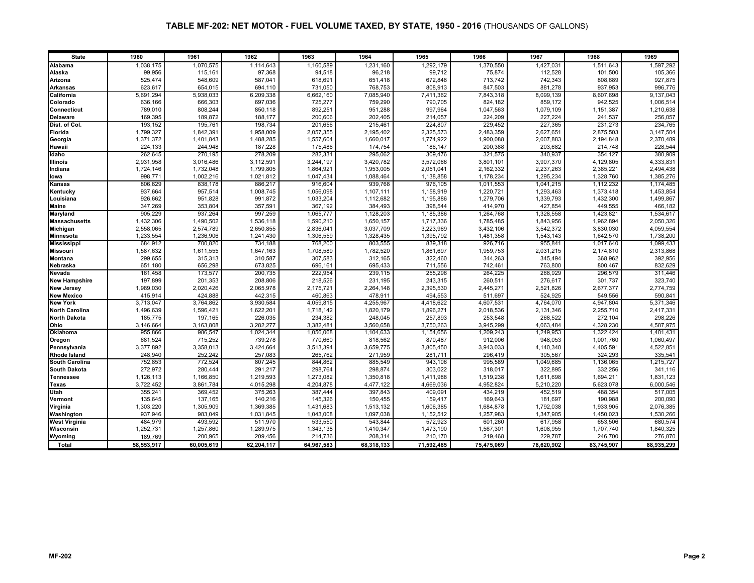| <b>State</b>          | 1960       | 1961       | 1962       | 1963       | 1964       | 1965       | 1966       | 1967       | 1968       | 1969       |
|-----------------------|------------|------------|------------|------------|------------|------------|------------|------------|------------|------------|
| Alabama               | 1,038,175  | 1,070,575  | 1,114,643  | 1,160,589  | 1,231,160  | 1,292,179  | 1,370,550  | 1,427,031  | 1,511,643  | 1,597,292  |
| Alaska                | 99,956     | 115,161    | 97,368     | 94,518     | 96,218     | 99,712     | 75,874     | 112,528    | 101,500    | 105,366    |
| Arizona               | 525,474    | 548,609    | 587,041    | 618,691    | 651,418    | 672,848    | 713,742    | 742,343    | 808,689    | 927,875    |
| <b>Arkansas</b>       | 623,617    | 654,015    | 694,110    | 731,050    | 768,753    | 808,913    | 847,503    | 881,278    | 937,953    | 996,776    |
| California            | 5,691,294  | 5,938,033  | 6,209,338  | 6,662,160  | 7,085,940  | 7,411,362  | 7,843,318  | 8,099,139  | 8,607,698  | 9,137,043  |
| Colorado              | 636,166    | 666,303    | 697,036    | 725,277    | 759,290    | 790,705    | 824,182    | 859,172    | 942,525    | 1,006,514  |
| <b>Connecticut</b>    | 789,010    | 808,244    | 850,118    | 892,251    | 951,288    | 997,964    | 1,047,563  | 1,079,109  | 1,151,387  | 1,210,638  |
| <b>Delaware</b>       | 169,395    | 189,872    | 188,177    | 200,606    | 202,405    | 214,057    | 224,209    | 227,224    | 241,537    | 256,057    |
| Dist. of Col.         | 193,152    | 195,761    | 198,734    | 201,656    | 215,461    | 224,807    | 229,452    | 227,365    | 231,273    | 234,765    |
| Florida               | 1,799,327  | 1,842,391  | 1,958,009  | 2,057,355  | 2,195,402  | 2,325,573  | 2,483,359  | 2,627,651  | 2,875,503  | 3,147,504  |
| Georgia               | 1,371,372  | 1,401,843  | 1,488,285  | 1,557,604  | 1,660,017  | 1,774,922  | 1,900,088  | 2,007,883  | 2,194,848  | 2,370,489  |
| Hawaii                | 224,133    | 244,948    | 187,228    | 175,486    | 174,754    | 186,147    | 200,388    | 203,682    | 214,748    | 228,544    |
| Idaho                 | 262.645    | 270,195    | 278,209    | 282,331    | 295,062    | 309,476    | 321.575    | 340,937    | 354.127    | 380,909    |
| <b>Illinois</b>       | 2,931,958  | 3,016,486  | 3,112,591  | 3,244,197  | 3,420,782  | 3,572,066  | 3,801,101  | 3,907,370  | 4,129,805  | 4,333,831  |
| Indiana               | 1,724,146  | 1,732,048  | 1,799,805  | 1,864,921  | 1,953,005  | 2,051,041  | 2,162,332  | 2,237,263  | 2,385,221  | 2,494,438  |
| lowa                  | 998.771    | 1,002,216  | 1,021,812  | 1,047,434  | 1,088,464  | 1,138,858  | 1,178,234  | 1,295,234  | 1,328,760  | 1,385,276  |
| Kansas                | 806,629    | 838,178    | 886,217    | 916,604    | 939,768    | 976,105    | 1,011,553  | 1,041,215  | 1,112,232  | 1,174,485  |
| Kentucky              | 937,664    | 957,514    | 1,008,745  | 1,056,098  | 1,107,111  | 1,158,919  | 1,220,721  | 1,293,463  | 1,373,418  | 1,453,854  |
| Louisiana             | 926,662    | 951,828    | 991,872    | 1,033,204  | 1,112,682  | 1,195,886  | 1,279,706  | 1,339,793  | 1,432,300  | 1,499,867  |
| <b>Maine</b>          | 347,269    | 353,804    | 357,591    | 367,192    | 384,493    | 398,544    | 414,970    | 427,854    | 449,555    | 466,182    |
| Maryland              | 905,229    | 937,264    | 997,259    | 1,065,777  | 1,128,203  | 1,185,386  | 1,264,768  | 1,328,558  | 1,423,821  | 1,534,617  |
| <b>Massachusetts</b>  | 1,432,306  | 1,490,502  | 1,536,118  | 1,590,210  | 1,650,157  | 1,717,336  | 1,785,485  | 1,843,956  | 1,962,894  | 2,050,326  |
| Michigan              | 2,558,065  | 2,574,789  | 2,650,855  | 2,836,041  | 3,037,709  | 3,223,969  | 3,432,106  | 3,542,372  | 3,830,030  | 4,059,554  |
| <b>Minnesota</b>      | 1,233,554  | 1,236,906  | 1,241,430  | 1,306,559  | 1,328,435  | 1,395,792  | 1,481,358  | 1,543,143  | 1,642,570  | 1,738,200  |
| <b>Mississippi</b>    | 684,912    | 700,820    | 734,188    | 768,200    | 803,555    | 839,318    | 926,716    | 955,841    | 1,017,640  | 1,099,433  |
| <b>Missouri</b>       | 1.587.632  | 1,611,555  | 1,647,163  | 1,708,589  | 1,782,520  | 1,861,697  | 1,959,753  | 2,031,215  | 2,174,810  | 2,313,868  |
| Montana               | 299,655    | 315,313    | 310,587    | 307,583    | 312,165    | 322,460    | 344,263    | 345,494    | 368,962    | 392,956    |
| Nebraska              | 651.180    | 656.298    | 673.825    | 696,161    | 695,433    | 711,556    | 742,461    | 763,800    | 800.467    | 832,629    |
| Nevada                | 161,458    | 173,577    | 200,735    | 222,954    | 239,115    | 255,296    | 264,225    | 268,929    | 296,579    | 311,446    |
| <b>New Hampshire</b>  | 197,899    | 201,353    | 208,806    | 218,526    | 231,195    | 243,315    | 260,511    | 276,617    | 301,737    | 323,740    |
| <b>New Jersey</b>     | 1,989,030  | 2,020,426  | 2,065,978  | 2,175,721  | 2,264,148  | 2,395,530  | 2,445,271  | 2,521,826  | 2,677,377  | 2,774,759  |
| <b>New Mexico</b>     | 415,914    | 424,888    | 442,315    | 460,863    | 478,911    | 494,553    | 511,697    | 524,925    | 549,556    | 590,841    |
| <b>New York</b>       | 3,713,047  | 3,764,862  | 3,930,584  | 4,059,815  | 4,255,967  | 4,418,622  | 4,607,531  | 4,764,070  | 4,947,804  | 5,371,346  |
| <b>North Carolina</b> | 1,496,639  | 1,596,421  | 1,622,201  | 1,718,142  | 1,820,179  | 1,896,271  | 2,018,536  | 2,131,346  | 2,255,710  | 2,417,331  |
| <b>North Dakota</b>   | 185,775    | 197,165    | 226,035    | 234,382    | 248,045    | 257,893    | 253,548    | 268,522    | 272,104    | 298,226    |
| Ohio                  | 3,146,664  | 3,163,808  | 3,282,277  | 3,382,481  | 3,560,658  | 3,750,263  | 3,945,299  | 4,063,484  | 4,328,230  | 4,587,975  |
| <b>Oklahoma</b>       | 955,866    | 986,547    | 1,024,344  | 1,056,068  | 1,104,633  | 1,154,656  | 1,209,243  | 1,249,953  | 1,322,424  | 1,401,431  |
| Oregon                | 681,524    | 715,252    | 739,278    | 770,660    | 818,562    | 870,487    | 912,006    | 948,053    | 1,001,760  | 1,060,497  |
| Pennsylvania          | 3,377,892  | 3,358,013  | 3,424,664  | 3,513,394  | 3,659,775  | 3,805,450  | 3,943,033  | 4,140,340  | 4,405,591  | 4,522,851  |
| <b>Rhode Island</b>   | 248,940    | 252,242    | 257,083    | 265,762    | 271,959    | 281,711    | 296,419    | 305,567    | 324,293    | 335,541    |
| <b>South Carolina</b> | 752,853    | 772,524    | 807,245    | 844,862    | 885,549    | 943,106    | 995,589    | 1,049,685  | 1,136,065  | 1,215,727  |
| <b>South Dakota</b>   | 272,972    | 280,444    | 291,217    | 298,764    | 298,874    | 303,022    | 318,017    | 322,895    | 332,256    | 341,116    |
| <b>Tennessee</b>      | 1,126,113  | 1,166,850  | 1,219,593  | 1,273,082  | 1,350,818  | 1,411,988  | 1,519,238  | 1,611,698  | 1,694,211  | 1,831,123  |
| Texas                 | 3.722.452  | 3,861,784  | 4.015.298  | 4,204,878  | 4,477,122  | 4.669.036  | 4.952.824  | 5,210,220  | 5,623,078  | 6,000,546  |
| Utah                  | 355,241    | 369,452    | 375,263    | 387.444    | 397,843    | 409,091    | 434,219    | 452,519    | 488,354    | 517,005    |
| Vermont               | 135,645    | 137,165    | 140,216    | 145,326    | 150,455    | 159,417    | 169,643    | 181,697    | 190,988    | 200,090    |
| Virginia              | 1,303,220  | 1,305,909  | 1,369,385  | 1,431,683  | 1,513,132  | 1,606,385  | 1,684,878  | 1,792,038  | 1,933,905  | 2,076,385  |
| Washington            | 937,946    | 983,049    | 1,031,845  | 1,043,008  | 1,097,038  | 1,152,512  | 1,257,983  | 1,347,905  | 1,450,023  | 1,530,266  |
| <b>West Virginia</b>  | 484,979    | 493,592    | 511,970    | 533,550    | 543,844    | 572,923    | 601,260    | 617,958    | 653,506    | 680,574    |
| Wisconsin             | 1,252,731  | 1,257,860  | 1,289,975  | 1,343,138  | 1,410,347  | 1,473,190  | 1,567,301  | 1,608,955  | 1,707,740  | 1,840,325  |
| Wyoming               | 189,769    | 200,965    | 209,456    | 214,736    | 208,314    | 210,170    | 219,468    | 229,787    | 246,700    | 276,870    |
| Total                 | 58,553,917 | 60,005,619 | 62,204,117 | 64,967,583 | 68,318,133 | 71,592,485 | 75,475,069 | 78,620,902 | 83,745,907 | 88,935,299 |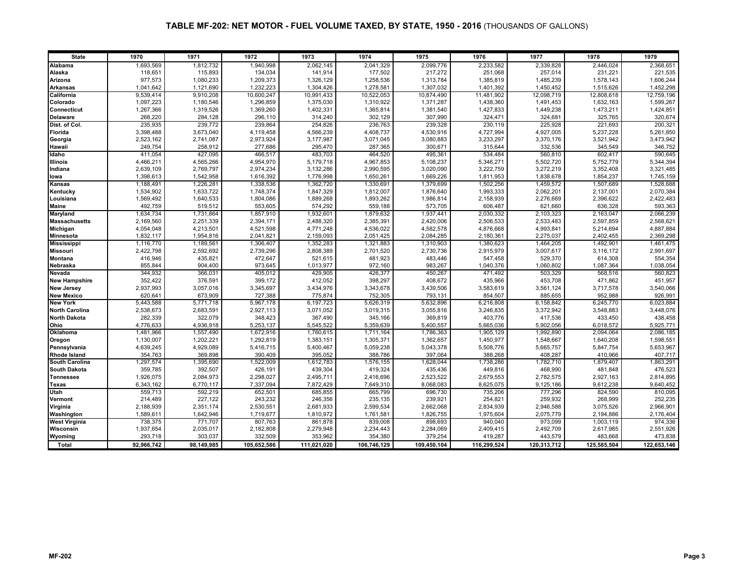| <b>State</b>          | 1970       | 1971       | 1972        | 1973        | 1974        | 1975        | 1976        | 1977        | 1978        | 1979        |
|-----------------------|------------|------------|-------------|-------------|-------------|-------------|-------------|-------------|-------------|-------------|
| Alabama               | 1,693,569  | 1,812,732  | 1,940,998   | 2,062,145   | 2,041,329   | 2,099,776   | 2,233,582   | 2,339,828   | 2,446,024   | 2,368,651   |
| Alaska                | 118,651    | 115,893    | 134,034     | 141.914     | 177,502     | 217,272     | 251,068     | 257,014     | 231,221     | 221,535     |
| Arizona               | 977,573    | 1,080,233  | 1,209,373   | 1,326,129   | 1,258,536   | 1,313,784   | 1,385,819   | 1,485,239   | 1,578,143   | 1,606,244   |
| <b>Arkansas</b>       | 1,041,642  | 1,121,690  | 1,232,223   | 1,304,426   | 1,278,581   | 1,307,032   | 1,401,392   | 1,450,452   | 1,515,626   | 1,452,298   |
| California            | 9,539,414  | 9,910,208  | 10,600,247  | 10,991,433  | 10,522,053  | 10,874,490  | 11,481,902  | 12,098,719  | 12,808,618  | 12,759,196  |
| Colorado              | 1,097,223  | 1,180,546  | 1,296,859   | 1,375,030   | 1,310,922   | 1,371,287   | 1,438,360   | 1,491,453   | 1,632,163   | 1,599,267   |
| <b>Connecticut</b>    | 1,267,366  | 1,319,526  | 1,369,260   | 1,402,331   | 1,365,814   | 1,381,540   | 1,427,833   | 1,449,238   | 1,473,211   | 1,424,851   |
| <b>Delaware</b>       | 268,220    | 284,128    | 296,110     | 314,240     | 302,129     | 307,990     | 324,471     | 324,681     | 325,765     | 320,674     |
| Dist. of Col.         | 235,935    | 239,772    | 239,864     | 254,826     | 236,763     | 239,328     | 230,119     | 225,928     | 221,693     | 200,321     |
| Florida               | 3,398,488  | 3,673,040  | 4,119,458   | 4,566,239   | 4,408,737   | 4,530,916   | 4,727,994   | 4,927,005   | 5,237,228   | 5,261,850   |
| Georgia               | 2,523,162  | 2,741,087  | 2,973,924   | 3,177,987   | 3,071,045   | 3,080,883   | 3,233,297   | 3,370,176   | 3,521,942   | 3,473,942   |
| Hawaii                | 249,754    | 258,912    | 277,686     | 295,470     | 287,365     | 300,671     | 315,644     | 332,536     | 345,549     | 346,752     |
| Idaho                 | 411.054    | 427,095    | 466,517     | 483.703     | 464,520     | 495,361     | 534,484     | 560,810     | 602.417     | 590.645     |
| <b>Illinois</b>       | 4,466,211  | 4,565,266  | 4,954,970   | 5,179,718   | 4,967,853   | 5,108,237   | 5,346,271   | 5,502,720   | 5,752,779   | 5,344,394   |
| Indiana               | 2,639,109  | 2,769,797  | 2,974,234   | 3,132,286   | 2,990,595   | 3,020,090   | 3,222,759   | 3,272,219   | 3,352,408   | 3,321,485   |
| lowa                  | 1,398,613  | 1,542,958  | 1,616,392   | 1,776,998   | 1,650,261   | 1,669,226   | 1,811,953   | 1,838,678   | 1,854,237   | 1,745,159   |
| Kansas                | 1,188,491  | 1,226,281  | 1,338,536   | 1,362,720   | 1,330,691   | 1,379,699   | 1,502,256   | 1,459,572   | 1,507,689   | 1,528,688   |
| Kentucky              | 1,534,902  | 1,633,722  | 1,748,374   | 1,847,329   | 1,812,007   | 1,876,640   | 1,993,333   | 2,062,201   | 2,137,001   | 2,070,384   |
| Louisiana             | 1,569,492  | 1,640,533  | 1,804,086   | 1,889,268   | 1,893,262   | 1,986,814   | 2,158,939   | 2,276,669   | 2,396,622   | 2,422,483   |
| <b>Maine</b>          | 492,759    | 519,512    | 553,605     | 574,292     | 559,188     | 573,705     | 606,487     | 621,660     | 636,328     | 593,363     |
| Maryland              | 1,634,734  | 1,731,864  | 1,857,910   | 1,932,601   | 1,879,632   | 1,937,441   | 2,030,332   | 2,103,323   | 2,163,047   | 2,066,239   |
| <b>Massachusetts</b>  | 2,169,560  | 2,251,339  | 2,394,171   | 2,488,320   | 2,385,391   | 2,420,006   | 2,506,533   | 2,533,483   | 2,597,859   | 2,568,621   |
| Michigan              | 4,054,048  | 4,213,501  | 4,521,598   | 4,771,248   | 4,536,022   | 4,582,578   | 4,876,668   | 4,993,841   | 5,214,694   | 4,887,884   |
| <b>Minnesota</b>      | 1,832,117  | 1,954,816  | 2,041,821   | 2,159,093   | 2,051,425   | 2,084,285   | 2,180,361   | 2,275,037   | 2,402,455   | 2,369,298   |
| <b>Mississippi</b>    | 1,116,770  | 1,189,561  | 1,306,407   | 1,352,283   | 1,321,883   | 1,310,903   | 1,380,623   | 1,464,205   | 1,492,901   | 1,461,475   |
| <b>Missouri</b>       | 2,422,798  | 2,592,692  | 2,739,296   | 2.808.389   | 2,701,520   | 2,730,736   | 2,915,979   | 3,007,617   | 3,116,172   | 2,991,697   |
| Montana               | 416,946    | 435,821    | 472,647     | 521,615     | 481,923     | 483,446     | 547,458     | 529,370     | 614,308     | 554,354     |
| Nebraska              | 855.844    | 904,400    | 973.645     | 1,013,977   | 972,160     | 983.267     | 1,040,376   | 1.060.802   | 1,087,364   | 1,038,054   |
| Nevada                | 344,932    | 366,031    | 405,012     | 429,905     | 426,377     | 450,267     | 471,492     | 503,329     | 568,516     | 560,823     |
| <b>New Hampshire</b>  | 352,422    | 376,591    | 399,172     | 412,052     | 398,297     | 408,672     | 435,966     | 453,708     | 471,862     | 451,957     |
| <b>New Jersey</b>     | 2,937,993  | 3,057,016  | 3,345,697   | 3,434,976   | 3,343,678   | 3,439,506   | 3,583,619   | 3,561,124   | 3,717,578   | 3,540,066   |
| <b>New Mexico</b>     | 620,641    | 673,909    | 727,388     | 775,874     | 752,305     | 793,131     | 854,507     | 885,655     | 952,988     | 926,991     |
| <b>New York</b>       | 5,443,588  | 5,771,718  | 5,967,178   | 6,197,723   | 5,626,319   | 5,632,896   | 6,216,808   | 6,158,842   | 6,245,770   | 6,023,884   |
| <b>North Carolina</b> | 2,538,673  | 2,683,591  | 2,927,113   | 3,071,052   | 3,019,315   | 3,055,816   | 3,246,835   | 3,372,942   | 3,548,883   | 3,448,076   |
| <b>North Dakota</b>   | 282,339    | 322,079    | 348,423     | 367,490     | 345,166     | 369,819     | 403,776     | 417,536     | 433,450     | 438,458     |
| Ohio                  | 4,776,633  | 4,936,918  | 5,253,137   | 5,545,522   | 5,359,639   | 5,400,557   | 5,665,036   | 5,902,056   | 6,018,572   | 5,925,771   |
| <b>Oklahoma</b>       | 1,481,966  | 1,557,490  | 1,672,916   | 1,760,615   | 1,711,164   | 1,786,363   | 1,905,129   | 1,992,890   | 2,094,064   | 2,086,185   |
| Oregon                | 1,130,007  | 1,202,221  | 1,292,819   | 1,383,151   | 1,305,371   | 1,362,657   | 1,450,977   | 1,548,667   | 1,640,208   | 1,598,551   |
| Pennsylvania          | 4,639,245  | 4,929,089  | 5,416,715   | 5,400,467   | 5,059,238   | 5,043,378   | 5,508,776   | 5,665,757   | 5,847,754   | 5,653,967   |
| <b>Rhode Island</b>   | 354,763    | 369,898    | 390,409     | 395,052     | 388,786     | 397,064     | 388,268     | 408,287     | 410,966     | 407,717     |
| <b>South Carolina</b> | 1,297,574  | 1,395,690  | 1,522,009   | 1,612,783   | 1,576,155   | 1,628,044   | 1,738,286   | 1,782,710   | 1,879,407   | 1,863,291   |
| <b>South Dakota</b>   | 359,785    | 392,507    | 426,191     | 439,304     | 419,324     | 435,436     | 449,816     | 468,990     | 481,848     | 476,523     |
| <b>Tennessee</b>      | 1,926,075  | 2,084,973  | 2,298,027   | 2,495,711   | 2,416,696   | 2,523,522   | 2,679,553   | 2,782,575   | 2,927,163   | 2,814,895   |
| Texas                 | 6,343,162  | 6,770,117  | 7.337.094   | 7,872,429   | 7,649,310   | 8,068,083   | 8,625,075   | 9,125,186   | 9,612,238   | 9,640,452   |
| Utah                  | 559,713    | 592,219    | 652,501     | 685,855     | 665,799     | 696,730     | 735,206     | 777,296     | 824,590     | 810,095     |
| Vermont               | 214,489    | 227,122    | 243,232     | 246,356     | 235,135     | 239,921     | 254,821     | 259,932     | 268,999     | 252,235     |
| Virginia              | 2,188,939  | 2,351,174  | 2,530,551   | 2,681,933   | 2,599,534   | 2,662,068   | 2,834,939   | 2,946,588   | 3,075,526   | 2,966,901   |
| Washington            | 1,589,611  | 1,642,946  | 1,719,677   | 1,810,972   | 1,761,581   | 1,826,755   | 1,975,604   | 2,075,779   | 2,194,886   | 2,176,404   |
| <b>West Virginia</b>  | 738,375    | 771,707    | 807,763     | 861,878     | 839,008     | 898,693     | 940,040     | 973,099     | 1,003,119   | 974,336     |
| Wisconsin             | 1,937,654  | 2,035,017  | 2,182,808   | 2,279,948   | 2,234,443   | 2,284,069   | 2,409,415   | 2,492,709   | 2,617,985   | 2,551,926   |
| Wyoming               | 293,718    | 303,037    | 332,509     | 353,962     | 354,380     | 379,254     | 419,287     | 443,579     | 483,668     | 473,838     |
| Total                 | 92,966,742 | 98,149,985 | 105,652,586 | 111,021,020 | 106,746,129 | 109,450,104 | 116,299,524 | 120,313,712 | 125,585,504 | 122,653,146 |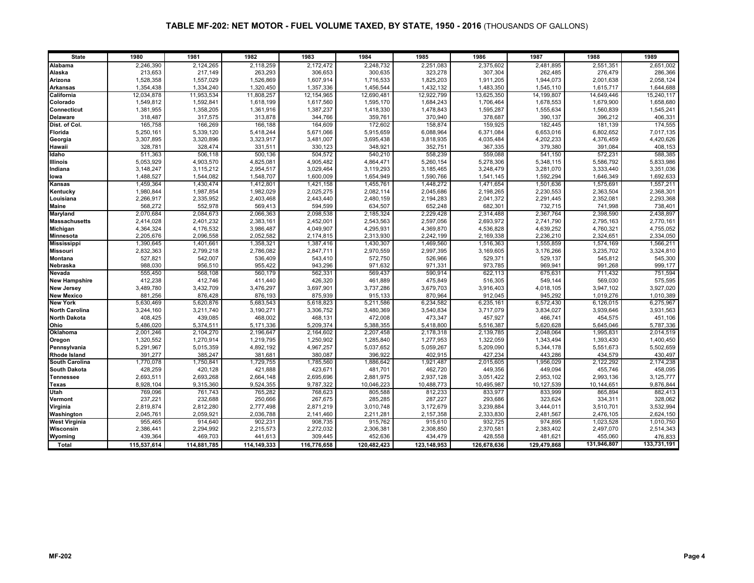| <b>State</b>          | 1980        | 1981        | 1982        | 1983        | 1984        | 1985          | 1986        | 1987        | 1988        | 1989        |
|-----------------------|-------------|-------------|-------------|-------------|-------------|---------------|-------------|-------------|-------------|-------------|
| Alabama               | 2,246,390   | 2,124,265   | 2,118,259   | 2,172,472   | 2,248,732   | 2,251,083     | 2,375,602   | 2,481,895   | 2,551,351   | 2,651,002   |
| Alaska                | 213,653     | 217,149     | 263,293     | 306,653     | 300,635     | 323,278       | 307,304     | 262,485     | 276,479     | 286,366     |
| Arizona               | 1,528,358   | 1,557,029   | 1,526,869   | 1,607,914   | 1,716,533   | 1,825,203     | 1,911,205   | 1,944,073   | 2,001,638   | 2,058,124   |
| <b>Arkansas</b>       | 1,354,438   | 1,334,240   | 1,320,450   | 1,357,336   | 1,456,544   | 1,432,132     | 1,483,350   | 1,545,110   | 1,615,717   | 1,644,688   |
| California            | 12,034,878  | 11,953,534  | 11,808,257  | 12,154,965  | 12,690,481  | 12,922,799    | 13,625,350  | 14,199,807  | 14,649,446  | 15,240,117  |
| Colorado              | 1,549,812   | 1,592,841   | 1,618,199   | 1,617,560   | 1,595,170   | 1,684,243     | 1,706,464   | 1,678,553   | 1,679,900   | 1,658,680   |
| <b>Connecticut</b>    | 1,381,955   | 1,358,205   | 1,361,916   | 1,387,237   | 1,418,330   | 1,478,843     | 1,595,287   | 1,555,634   | 1,560,839   | 1,545,241   |
| <b>Delaware</b>       | 318,487     | 317,575     | 313,878     | 344,766     | 359,761     | 370,940       | 378,687     | 390,137     | 396,212     | 406,331     |
| Dist. of Col.         | 165,758     | 166,269     | 166,188     | 164.609     | 172,602     | 158,874       | 159,925     | 182.445     | 181.139     | 174,555     |
| Florida               | 5,250,161   | 5,339,120   | 5,418,244   | 5,671,066   | 5,915,659   | 6,088,964     | 6,371,084   | 6,653,016   | 6,802,652   | 7,017,135   |
| Georgia               | 3,307,895   | 3,320,896   | 3,323,917   | 3,481,007   | 3,695,438   | 3,818,935     | 4,035,484   | 4,202,233   | 4,376,459   | 4,420,626   |
| Hawaii                | 328,781     | 328,474     | 331,511     | 330,123     | 348,921     | 352,751       | 367,335     | 379,380     | 391,084     | 408,153     |
| Idaho                 | 511,363     | 506,118     | 500,136     | 504,572     | 540,210     | 558,239       | 559,088     | 541,150     | 572,231     | 588,385     |
| <b>Illinois</b>       | 5,053,929   | 4,903,570   | 4,825,081   | 4,905,482   | 4,864,471   | 5,260,154     | 5,278,306   | 5,348,115   | 5,586,792   | 5,833,986   |
| Indiana               | 3,148,247   | 3,115,212   | 2,954,517   | 3,029,464   | 3,119,293   | 3,185,465     | 3,248,479   | 3,281,070   | 3,333,440   | 3,351,036   |
| lowa                  | 1.488.527   | 1.544.082   | 1.548.707   | 1.600.009   | 1.654.949   | 1,590,766     | 1,541,145   | 1.592.294   | 1,646,349   | 1,692,633   |
| Kansas                | 1,459,364   | 1,430,474   | 1,412,801   | 1,421,158   | 1,455,761   | 1,448,272     | 1,471,654   | 1,501,636   | 1,575,691   | 1,557,211   |
| Kentucky              | 1,980,844   | 1,987,854   | 1,982,029   | 2,025,275   | 2,082,114   | 2,045,686     | 2,198,265   | 2,230,553   | 2,363,504   | 2,368,301   |
| Louisiana             | 2,266,917   | 2,335,952   | 2,403,468   | 2,443,440   | 2,480,159   | 2,194,283     | 2,041,372   | 2,291,445   | 2,352,081   | 2,293,368   |
| <b>Maine</b>          | 568,272     | 552,978     | 569,413     | 594,599     | 634,507     | 652,248       | 682,301     | 732,715     | 741,998     | 738,401     |
| Maryland              | 2.070.684   | 2,084,673   | 2,066,363   | 2.098.538   | 2,185,324   | 2.229.428     | 2,314,488   | 2,367,764   | 2.398.590   | 2.438.897   |
| <b>Massachusetts</b>  | 2,414,028   | 2,401,232   | 2,383,161   | 2,452,001   | 2,543,563   | 2,597,056     | 2,693,972   | 2,741,790   | 2,795,163   | 2,770,161   |
| Michigan              | 4,364,324   | 4,176,532   | 3,986,487   | 4,049,907   | 4,295,931   | 4,369,870     | 4,536,828   | 4,639,252   | 4,760,321   | 4,755,052   |
| Minnesota             | 2,205,676   | 2,096,558   | 2,052,582   | 2,174,815   | 2,313,930   | 2,242,199     | 2,169,338   | 2,236,210   | 2,324,651   | 2,334,050   |
| <b>Mississippi</b>    | 1,390,645   | 1,401,661   | 1,358,321   | 1,387,416   | 1,430,307   | 1,469,560     | 1,516,363   | 1,555,859   | 1,574,169   | 1,566,211   |
| <b>Missouri</b>       | 2,832,363   | 2,799,218   | 2,786,082   | 2,847,711   | 2,970,559   | 2,997,395     | 3,169,605   | 3,176,266   | 3,235,702   | 3,324,810   |
| Montana               | 527,821     | 542,007     | 536,409     | 543,410     | 572,750     | 526,966       | 529,371     | 529,137     | 545,812     | 545,300     |
| Nebraska              | 988,030     | 956,510     | 955,422     | 943,296     | 971,632     | 971,331       | 973,785     | 969,941     | 991,268     | 999,177     |
| Nevada                | 555,450     | 568,108     | 560,179     | 562,331     | 569,437     | 590,914       | 622,113     | 675,631     | 711,432     | 751,594     |
| <b>New Hampshire</b>  | 412,238     | 412,746     | 411,440     | 426,320     | 461,889     | 475,849       | 516,305     | 549,144     | 569,030     | 575,595     |
| <b>New Jersey</b>     | 3,489,780   | 3,432,709   | 3,476,297   | 3,697,901   | 3,737,286   | 3,679,703     | 3,916,403   | 4,018,105   | 3,947,102   | 3,927,020   |
| <b>New Mexico</b>     | 881,256     | 876.428     | 876.193     | 875.939     | 915,133     | 870,964       | 912.045     | 945.292     | 1,019,276   | 1,010,389   |
| <b>New York</b>       | 5,630,469   | 5,620,876   | 5,683,543   | 5,618,823   | 5,211,586   | 6,234,582     | 6,235,161   | 6,572,430   | 6,126,015   | 6,275,967   |
| <b>North Carolina</b> | 3,244,160   | 3,211,740   | 3,190,271   | 3,306,752   | 3,480,369   | 3,540,834     | 3,717,079   | 3,834,027   | 3.939.646   | 3,931,563   |
| <b>North Dakota</b>   | 408,425     | 439,085     | 468,002     | 468,131     | 472,008     | 473,347       | 457,927     | 466,741     | 454,575     | 451,106     |
| Ohio                  | 5,486,020   | 5,374,51    | 5,171,336   | 5,209,374   | 5,388,355   | 5,418,800     | 5,516,387   | 5,620,628   | 5,645,046   | 5,787,336   |
| Oklahoma              | 2,001,246   | 2,104,270   | 2,196,647   | 2,164,602   | 2,207,458   | 2,178,318     | 2,139,785   | 2,048,064   | 1,995,831   | 2,014,519   |
| Oregon                | 1,320,552   | 1,270,914   | 1,219,795   | 1,250,902   | 1,285,840   | 1,277,953     | 1,322,059   | 1,343,494   | 1,393,430   | 1,400,450   |
| Pennsylvania          | 5,291,967   | 5,015,359   | 4,892,192   | 4,967,257   | 5,037,652   | 5,059,267     | 5,209,090   | 5,344,178   | 5,551,673   | 5,502,659   |
| <b>Rhode Island</b>   | 391,277     | 385,247     | 381,681     | 380,087     | 396,922     | 402,915       | 427,234     | 443,286     | 434,579     | 430,497     |
| <b>South Carolina</b> | 1,770,078   | 1,750,84    | 1,729,755   | 1,785,560   | 1,886,642   | 1,921,487     | 2,015,605   | 1,956,029   | 2,122,292   | 2,174,238   |
| <b>South Dakota</b>   | 428,259     | 420,128     | 421,888     | 423,671     | 481,701     | 462,720       | 449,356     | 449,094     | 455,746     | 458,095     |
| <b>Tennessee</b>      | 2,693,511   | 2,693,268   | 2,664,148   | 2,695,696   | 2,881,975   | 2,937,128     | 3,051,422   | 2,953,102   | 2,993,136   | 3,125,777   |
| Texas                 | 8,928,104   | 9,315,360   | 9,524,355   | 9,787,322   | 10,046,223  | 10,488,773    | 10,495,987  | 10,127,539  | 10,144,651  | 9,876,844   |
| Utah                  | 769,096     | 761,743     | 765,282     | 768,623     | 805,588     | 812,233       | 833,977     | 833,999     | 865,894     | 882,413     |
| Vermont               | 237,221     | 232,688     | 250,666     | 267,675     | 285,285     | 287,227       | 293,686     | 323,624     | 334,311     | 328,062     |
| Virginia              | 2,819,874   | 2,812,280   | 2,777,498   | 2,871,219   | 3,010,748   | 3,172,679     | 3,239,884   | 3,444,011   | 3,510,701   | 3,532,994   |
| Washington            | 2,045,761   | 2,059,921   | 2,036,788   | 2,141,460   | 2,211,281   | 2,157,358     | 2,333,830   | 2,481,567   | 2,476,105   | 2,624,150   |
| <b>West Virginia</b>  | 955,465     | 914,640     | 902,231     | 908,735     | 915,762     | 915,610       | 932,725     | 974,895     | 1,023,528   | 1,010,750   |
| Wisconsin             | 2,386,441   | 2,294,992   | 2,215,573   | 2,272,032   | 2,306,381   | 2,308,850     | 2,370,581   | 2,383,402   | 2,497,070   | 2,514,343   |
| Wyoming               | 439,364     | 469,703     | 441,613     | 309,445     | 452,636     | 434,479       | 428,558     | 481,621     | 455,060     | 476,833     |
| Total                 | 115,537,614 | 114,881,785 | 114,149,333 | 116,776,658 | 120,482,423 | 123, 148, 953 | 126,678,636 | 129,479,868 | 131,946,807 | 133,731,191 |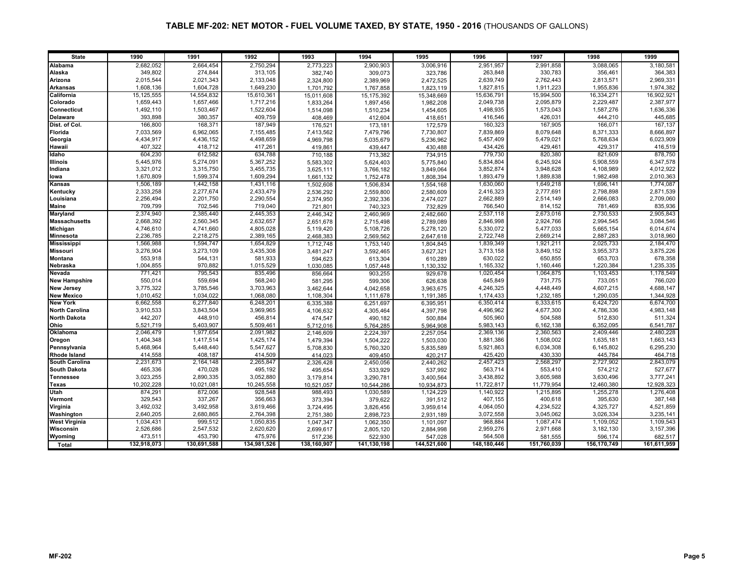| <b>State</b>          | 1990         | 1991        | 1992        | 1993        | 1994         | 1995        | 1996        | 1997        | 1998        | 1999        |
|-----------------------|--------------|-------------|-------------|-------------|--------------|-------------|-------------|-------------|-------------|-------------|
| Alabama               | 2,682,052    | 2,664,454   | 2,750,294   | 2,773,223   | 2,900,903    | 3,006,916   | 2,951,957   | 2,991,858   | 3,088,065   | 3,180,581   |
| Alaska                | 349,802      | 274,844     | 313,105     | 382,740     | 309,073      | 323,786     | 263,848     | 330,783     | 356,461     | 364,383     |
| Arizona               | 2,015,544    | 2,021,343   | 2,133,048   | 2,324,800   | 2,389,969    | 2,472,525   | 2,639,749   | 2,762,443   | 2,813,571   | 2,969,331   |
| <b>Arkansas</b>       | 1,608,136    | 1,604,728   | 1,649,230   | 1,701,792   | 1,767,858    | 1,823,119   | 1,827,815   | 1,911,223   | 1,955,836   | 1,974,382   |
| California            | 15, 125, 555 | 14,554,832  | 15,610,361  | 15,011,608  | 15, 175, 392 | 15,348,669  | 15,636,791  | 15,994,500  | 16,334,271  | 16,902,921  |
| Colorado              | 1,659,443    | 1,657,466   | 1,717,216   | 1,833,264   | 1,897,456    | 1,982,208   | 2,049,738   | 2,095,879   | 2,229,487   | 2,387,977   |
| Connecticut           | 1,492,110    | 1,503,467   | 1,522,604   | 1,514,098   | 1,510,234    | 1,454,605   | 1,498,935   | 1,573,043   | 1,587,276   | 1,636,336   |
| <b>Delaware</b>       | 393,898      | 380,357     | 409,759     | 408,469     | 412,604      | 418,651     | 416,546     | 426,031     | 444,210     | 445,685     |
| Dist. of Col.         | 166,800      | 168,371     | 187,949     | 176,521     | 173,181      | 172,579     | 160,323     | 167,905     | 166,071     | 167,137     |
| Florida               | 7,033,569    | 6,962,065   | 7,155,485   | 7,413,562   | 7,479,796    | 7,730,807   | 7,839,869   | 8,079,648   | 8,371,333   | 8,666,897   |
| Georgia               | 4,434,917    | 4,436,152   | 4,498,659   | 4,969,798   | 5,035,679    | 5,236,962   | 5,457,409   | 5,479,021   | 5,768,634   | 6,023,909   |
| Hawaii                | 407,322      | 418,712     | 417,261     | 419,861     | 439,447      | 430,488     | 434,426     | 429,461     | 429,317     | 416,519     |
| Idaho                 | 604,230      | 612,582     | 634,788     | 710.188     | 713.382      | 734.915     | 779,730     | 820,380     | 821,609     | 878,750     |
| <b>Illinois</b>       | 5,445,976    | 5,274,091   | 5,367,252   | 5,583,302   | 5,624,403    | 5,775,840   | 5,834,804   | 6,245,924   | 5,908,559   | 6,347,578   |
| Indiana               | 3,321,012    | 3,315,750   | 3,455,735   | 3,625,111   | 3,766,182    | 3,849,064   | 3,852,874   | 3,948,628   | 4,108,989   | 4,012,922   |
| lowa                  | 1,670,809    | 1,599,374   | 1,609,294   | 1,661,132   | 1,752,478    | 1,808,394   | 1,893,479   | 1,889,838   | 1.982.498   | 2,010,363   |
| Kansas                | 1,506,189    | 1,442,158   | 1,431,116   | 1,502,608   | 1,506,834    | 1,554,168   | 1,630,060   | 1,649,218   | 1,696,141   | 1,774,087   |
| Kentucky              | 2,333,258    | 2,277,674   | 2,433,479   | 2,536,292   | 2,559,800    | 2,580,609   | 2,416,323   | 2,777,691   | 2,798,898   | 2,871,539   |
| Louisiana             | 2,256,494    | 2,201,750   | 2,290,554   | 2,374,950   | 2,392,336    | 2,474,027   | 2,662,889   | 2,514,149   | 2,666,083   | 2,709,060   |
| <b>Maine</b>          | 709,799      | 702,546     | 719,040     | 721,801     | 740,323      | 732,829     | 766,540     | 814,152     | 781,469     | 835,936     |
| Maryland              | 2,374,940    | 2,385,440   | 2,445,353   | 2,446,342   | 2,460,969    | 2,482,660   | 2,537,118   | 2,673,016   | 2,730,533   | 2,905,843   |
| <b>Massachusetts</b>  | 2,668,392    | 2,560,345   | 2,632,657   | 2,651,678   | 2,715,498    | 2,789,089   | 2,846,998   | 2,924,766   | 2,994,545   | 3,084,546   |
| Michigan              | 4,746,610    | 4,741,660   | 4,805,028   | 5,119,420   | 5,108,726    | 5,278,120   | 5,330,072   | 5,477,033   | 5,665,154   | 6,014,674   |
| <b>Minnesota</b>      | 2,236,785    | 2,218,275   | 2,389,165   | 2,468,383   | 2,569,562    | 2,647,618   | 2,722,748   | 2,669,214   | 2,887,283   | 3,018,960   |
| <b>Mississippi</b>    | 1,566,988    | 1,594,747   | 1,654,829   | 1,712,748   | 1,753,140    | 1,804,845   | 1,839,349   | 1,921,211   | 2,025,733   | 2,184,470   |
| <b>Missouri</b>       | 3,276,904    | 3,273,109   | 3,435,308   | 3,481,247   | 3,592,465    | 3,627,321   | 3,713,158   | 3,849,152   | 3,955,373   | 3,875,226   |
| <b>Montana</b>        | 553,918      | 544,131     | 581,933     | 594,623     | 613,304      | 610,289     | 630,022     | 650,855     | 653,703     | 678,358     |
| <b>Nebraska</b>       | 1,004,855    | 970,882     | 1,015,529   | 1.030.085   | 1,057,448    | 1,130,332   | 1,165,332   | 1.160.446   | 1,220,384   | 1,235,335   |
| Nevada                | 771,421      | 795,543     | 835,496     | 856,664     | 903,255      | 929,678     | 1,020,454   | 1,064,875   | 1,103,453   | 1,178,549   |
| <b>New Hampshire</b>  | 550,014      | 559,694     | 568,240     | 581,295     | 599,306      | 626,638     | 645,849     | 731,775     | 733,051     | 766,020     |
| <b>New Jersey</b>     | 3,775,322    | 3,785,546   | 3,703,963   | 3,462,644   | 4,042,658    | 3,963,675   | 4,246,325   | 4,448,449   | 4,607,215   | 4,688,147   |
| <b>New Mexico</b>     | 1,010,452    | 1,034,022   | 1,068,080   | 1,108,304   | 1,111,678    | 1,191,385   | 1,174,433   | 1,232,185   | 1,290,035   | 1,344,928   |
| <b>New York</b>       | 6,662,558    | 6,277,840   | 6,248,201   | 6,335,388   | 6,251,697    | 6,395,951   | 6,350,414   | 6,333,615   | 6,424,720   | 6,674,700   |
| <b>North Carolina</b> | 3,910,533    | 3,843,504   | 3,969,965   | 4,106,632   | 4,305,464    | 4,397,798   | 4,496,962   | 4,677,300   | 4,786,336   | 4,983,148   |
| <b>North Dakota</b>   | 442,207      | 448,910     | 456,814     | 474,547     | 490,182      | 500,884     | 505,960     | 504,588     | 512,830     | 511,324     |
| Ohio                  | 5,521,719    | 5,403,907   | 5,509,461   | 5,712,016   | 5,764,285    | 5,964,908   | 5,983,143   | 6,162,138   | 6,352,095   | 6,541,787   |
| Oklahoma              | 2,046,479    | 1,977,654   | 2,091,982   | 2,146,609   | 2,224,397    | 2,257,054   | 2,369,136   | 2,360,563   | 2,409,446   | 2,480,228   |
| Oregon                | 1,404,348    | 1,417,514   | 1,425,174   | 1,479,394   | 1,504,222    | 1,503,030   | 1,881,386   | 1,508,002   | 1,635,181   | 1,663,143   |
| Pennsylvania          | 5,468,964    | 5,448,440   | 5,547,627   | 5,708,830   | 5,760,320    | 5,835,589   | 5,921,863   | 6,034,308   | 6,145,802   | 6,295,230   |
| <b>Rhode Island</b>   | 414,558      | 408,187     | 414,509     | 414,023     | 409,450      | 420,217     | 425,420     | 430,330     | 445,784     | 464,718     |
| <b>South Carolina</b> | 2,231,673    | 2,164,148   | 2,265,847   | 2,326,428   | 2,450,056    | 2,440,262   | 2,457,423   | 2,568,297   | 2,727,902   | 2,843,079   |
| <b>South Dakota</b>   | 465,336      | 470,028     | 495,192     | 495,654     | 533,929      | 537,992     | 563,714     | 553,410     | 574,212     | 527,677     |
| <b>Tennessee</b>      | 3,023,255    | 2,890,335   | 3,052,880   | 3,179,814   | 3,290,781    | 3,400,564   | 3,438,892   | 3,605,988   | 3,630,496   | 3,777,241   |
| Texas                 | 10,202,228   | 10,021,081  | 10,245,558  | 10,521,057  | 10,544,286   | 10,934,873  | 11,722,817  | 11,779,954  | 12,460,380  | 12,928,323  |
| Utah                  | 874,291      | 872,006     | 928,548     | 988.493     | 1,030,589    | 1,124,229   | 1,140,922   | 1,215,895   | 1,255,278   | 1,276,408   |
| Vermont               | 329,543      | 337,267     | 356,663     | 373,394     | 379,622      | 391,512     | 407,155     | 400,618     | 395,630     | 387,148     |
| Virginia              | 3,492,032    | 3,492,958   | 3,619,466   | 3,724,495   | 3,826,456    | 3,959,614   | 4,064,050   | 4,234,522   | 4,325,727   | 4,521,859   |
| Washington            | 2,640,205    | 2,680,865   | 2,764,398   | 2,751,380   | 2,898,723    | 2,931,189   | 3,072,558   | 3,045,062   | 3,026,334   | 3,235,141   |
| <b>West Virginia</b>  | 1,034,431    | 999,512     | 1,050,835   | 1,047,347   | 1,062,350    | 1,101,097   | 968,884     | 1,087,474   | 1,109,052   | 1,109,543   |
| Wisconsin             | 2,526,686    | 2,547,532   | 2,620,620   | 2,699,617   | 2,805,120    | 2,884,998   | 2,959,276   | 2,971,668   | 3,182,130   | 3,157,396   |
| Wyoming               | 473,511      | 453,790     | 475,976     | 517,236     | 522,930      | 547,028     | 564,508     | 581,555     | 596,174     | 682,517     |
| Total                 | 132,918,073  | 130,691,588 | 134,981,526 | 138,160,907 | 141,130,198  | 144,521,600 | 148,180,446 | 151,760,039 | 156,170,749 | 161,611,959 |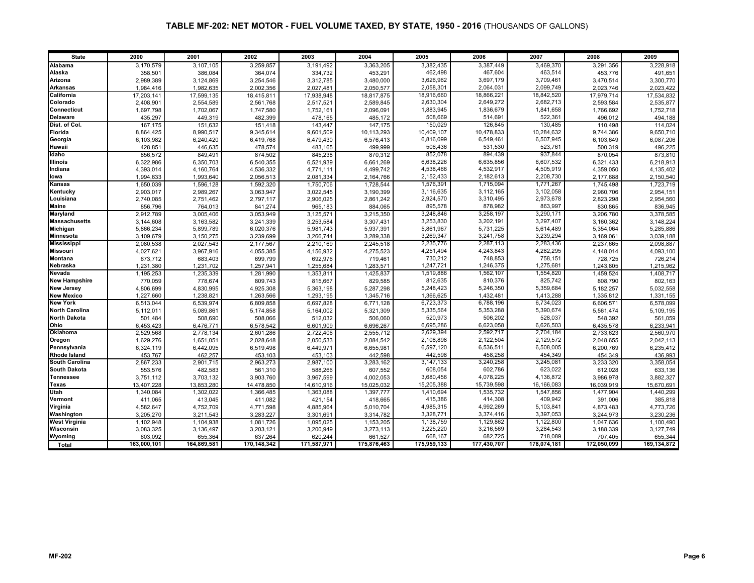| <b>State</b>                      | 2000                   | 2001                   | 2002                 | 2003                   | 2004                 | 2005                   | 2006                   | 2007                   | 2008                   | 2009                     |
|-----------------------------------|------------------------|------------------------|----------------------|------------------------|----------------------|------------------------|------------------------|------------------------|------------------------|--------------------------|
| Alabama                           | 3,170,579              | 3,107,105              | 3,259,857            | 3,191,492              | 3,363,205            | 3,382,435              | 3,387,449              | 3,469,370              | 3,291,356              | 3,228,918                |
| Alaska                            | 358,501                | 386,084                | 364,074              | 334,732                | 453,291              | 462,498                | 467,604                | 463,514                | 453,776                | 491,651                  |
| Arizona                           | 2,989,389              | 3,124,869              | 3,254,546            | 3,312,785              | 3,480,000            | 3,626,962              | 3,697,179              | 3,709,461              | 3,470,514              | 3,300,770                |
| <b>Arkansas</b>                   | 1,984,416              | 1,982,635              | 2,002,356            | 2,027,481              | 2,050,577            | 2,058,301              | 2,064,031              | 2,099,749              | 2,023,746              | 2,023,422                |
| California                        | 17,203,141             | 17,599,135             | 18,415,811           | 17,938,948             | 18,817,875           | 18,916,660             | 18,866,221             | 18,842,520             | 17,979,714             | 17,534,832               |
| Colorado                          | 2,408,901              | 2,554,589              | 2,561,768            | 2,517,521              | 2,589,845            | 2,630,304              | 2,649,272              | 2,682,713              | 2,593,584              | 2,535,877                |
| Connecticut                       | 1,697,798              | 1,702,067              | 1,747,580            | 1,752,161              | 2,096,091            | 1,883,945              | 1,836,679              | 1,841,658              | 1,766,692              | 1,752,718                |
| <b>Delaware</b>                   | 435,297                | 449,319                | 482,399              | 478,165                | 485,172              | 508,669                | 514,69                 | 522,361                | 496,012                | 494,188                  |
| Dist. of Col.                     | 167.175                | 151,632                | 151,418              | 143,447                | 147,175              | 150,029                | 126,845                | 130,485                | 110,498                | 114,024                  |
| Florida                           | 8,864,425              | 8,990,517              | 9,345,614            | 9,601,509              | 10,113,293           | 10,409,107             | 10,478,833             | 10,284,632             | 9,744,386              | 9,650,710                |
| Georgia                           | 6,103,982              | 6,240,420              | 6,419,768            | 6,479,430              | 6,576,413            | 6,816,099              | 6,549,461              | 6,507,945              | 6,103,649              | 6,087,206                |
| Hawaii                            | 428,851                | 446,635                | 478,574              | 483,165                | 499,999              | 506,436                | 531,530                | 523,761                | 500,319                | 496,225                  |
| Idaho                             | 856,572                | 849,491                | 874,502              | 845,238                | 870,312              | 852,078                | 894,439                | 937,844                | 870,054                | 873,810                  |
| <b>Illinois</b>                   | 6,322,986              | 6,350,703              | 6,540,355            | 6,521,939              | 6,661,269            | 6,638,226              | 6,635,856              | 6,607,532              | 6,321,433              | 6,218,913                |
| Indiana                           | 4,393,014              | 4,160,764              | 4,536,332            | 4,771,111              | 4,499,742            | 4,538,466              | 4,532,917              | 4,505,919              | 4,359,050              | 4,135,402                |
| lowa                              | 1,994,633              | 1,993,640              | 2,056,513            | 2,081,334              | 2,164,766            | 2,152,433              | 2,182,613              | 2,208,730              | 2,177,688              | 2,150,540                |
| Kansas                            | 1,650,039              | 1,596,128              | 1,592,320            | 1,750,706              | 1,728,544            | 1,576,391              | 1,715,094              | 1,771,267              | 1,745,498              | 1,723,719                |
| Kentucky                          | 2,903,017              | 2,989,267              | 3,063,947            | 3,022,545              | 3,190,399            | 3,116,635              | 3,112,165              | 3,102,058              | 2,960,706              | 2,954,151                |
| Louisiana                         | 2,740,085              | 2,751,462              | 2,797,117            | 2,906,025              | 2,861,242            | 2,924,570              | 3,310,495              | 2,973,678              | 2,823,298              | 2,954,560                |
| <b>Maine</b>                      | 856,796                | 764,013                | 841,274              | 965,183                | 884,065              | 895,578                | 878,982                | 863,997                | 830,865                | 836,945                  |
| Maryland                          | 2,912,789              | 3,005,406              | 3,053,949            | 3,125,571              | 3,215,350            | 3,248,846              | 3,258,197              | 3,290,171              | 3,206,780              | 3,378,585                |
| <b>Massachusetts</b>              | 3,144,608              | 3,163,582              | 3,241,339            | 3,253,584              | 3,307,431            | 3,253,830              | 3,202,191              | 3,297,407              | 3,160,362              | 3,148,224                |
| Michigan                          | 5,866,234              | 5,899,789              | 6,020,376            | 5,981,743              | 5,937,391            | 5,861,967              | 5,731,225              | 5,614,489              | 5,354,064              | 5,285,886                |
| <b>Minnesota</b>                  | 3,109,679              | 3,150,275              | 3,239,699            | 3,266,744              | 3,289,338            | 3,269,347              | 3,241,758              | 3,239,294              | 3,169,061              | 3,039,188                |
| <b>Mississippi</b>                | 2,080,538              | 2,027,543              | 2,177,567            | 2,210,169              | 2,245,518            | 2,235,776              | 2,287,113              | 2,283,436              | 2,237,665              | 2,098,887                |
| <b>Missouri</b>                   | 4,027,621              | 3,967,916              | 4,055,385            | 4.156.932              | 4,275,523            | 4,251,494              | 4,243,843              | 4,282,295              | 4,148,014              | 4,093,100                |
| <b>Montana</b>                    | 673,712                | 683,403                | 699,799              | 692,976                | 719,461              | 730,212                | 748,853                | 758,151                | 728,725                | 726,214                  |
| Nebraska                          | 1,231,380              | 1,231,702              | 1,257,941            | 1,255,684              | 1,283,571            | 1,247,721              | 1,246,375              | 1,275,681              | 1,243,805              | 1,215,962                |
| <b>Nevada</b>                     | 1,195,253              | 1,235,339              | 1,281,990            | 1,353,811              | 1,425,837            | 1,519,886              | 1,562,107              | 1,554,820              | 1,459,524              | 1,408,717                |
| <b>New Hampshire</b>              | 770,059                | 778,674                | 809,743              | 815,667                | 829,585              | 812,635                | 810,376                | 825,742                | 808,790                | 802,163                  |
| <b>New Jersey</b>                 | 4,806,699              | 4,830,995              | 4,925,308            | 5,363,198              | 5,287,298            | 5,248,423              | 5,246,350              | 5,359,684              | 5,182,257              | 5,032,558                |
| <b>New Mexico</b>                 | 1,227,660              | 1,238,821              | 1,263,566            | 1,293,195              | 1,345,716            | 1,366,625              | 1,432,481              | 1,413,288              | 1,335,812              | 1,331,155                |
| <b>New York</b>                   | 6,513,044              | 6,539,974              | 6,809,858            | 6,697,828              | 6,771,128            | 6,723,373              | 6,788,196              | 6,734,023              | 6,606,571              | 6,578,099                |
| <b>North Carolina</b>             | 5,112,011              | 5,089,861              | 5,174,858            | 5,164,002              | 5,321,309            | 5,335,564              | 5,353,288              | 5,390,674              | 5,561,474              | 5,109,195                |
| <b>North Dakota</b>               | 501,484                | 508,690                | 508,066              | 512,032                | 506,060              | 520,973                | 506,202                | 528,037                | 548,392                | 561,059                  |
| Ohio                              | 6,453,423              | 6,476,771              | 6,578,542            | 6,601,909              | 6,696,267            | 6,695,286              | 6,623,058              | 6,626,503              | 6,435,578              | 6,233,941                |
| Oklahoma                          | 2,529,568              | 2,778,134              | 2,601,286            | 2,722,406              | 2,555,712            | 2,629,394              | 2,592,717              | 2,704,184              | 2,733,623              | 2,560,970                |
| Oregon                            | 1,629,276              | 1,651,051              | 2,028,648            | 2,050,533              | 2,084,542            | 2,108,898              | 2,122,504              | 2,129,572              | 2,048,655              | 2,042,113                |
| Pennsylvania                      | 6,324,119              | 6,442,095              | 6,519,498            | 6,449,971              | 6,655,981            | 6,597,120              | 6,536,511              | 6,508,005              | 6,200,769              | 6,235,412                |
| <b>Rhode Island</b>               | 453,767                | 462,257                | 453,103              | 453,103                | 442,598              | 442,598                | 458,258                | 454,349                | 454,349                | 436,993                  |
| <b>South Carolina</b>             | 2,867,233              | 2,901,715              | 2,963,273            | 2.987.100              | 3,283,162            | 3,147,133              | 3,240,258              | 3,245,081              | 3,233,320              | 3,358,054                |
| <b>South Dakota</b>               | 553,576                | 482,583                | 561,310              | 588,266                | 607,552              | 608,054                | 602,786                | 623,022                | 612,028                | 633,136                  |
| <b>Tennessee</b>                  | 3,751,112              | 3,703,132              | 3,903,760            | 3,967,599              | 4,002,053            | 3,680,456              | 4,078,225              | 4,136,872              | 3,986,978              | 3,882,327                |
| Texas                             | 13,407,228             | 13,853,280             | 14,478,850           | 14,610,916             | 15,025,032           | 15,205,388             | 15,739,598             | 16,166,083             | 16,039,919             | 15,670,691               |
| Utah                              | 1,340,084              | 1,302,022              | 1,366,485            | 1,363,088              | 1,397,777            | 1,410,694              | 1,535,732<br>414,308   | 1,547,856<br>409,942   | 1,477,904              | 1,440,299                |
| Vermont                           | 411,065                | 413,045                | 411,082              | 421,154                | 418,665              | 415,386                |                        |                        | 391,006                | 385,818                  |
| Virginia                          | 4,582,647              | 4,752,709              | 4,771,598            | 4,885,964              | 5,010,704            | 4,985,315<br>3,328,771 | 4,992,269<br>3,374,416 | 5,103,841<br>3,397,053 | 4,873,483              | 4,773,726                |
| Washington                        | 3,205,270              | 3,211,543              | 3,283,227            | 3,301,691              | 3,314,782            |                        |                        |                        | 3,244,973              | 3,230,236                |
| <b>West Virginia</b><br>Wisconsin | 1,102,948              | 1,104,938              | 1,081,726            | 1,095,025<br>3,200,949 | 1,153,205            | 1,138,759<br>3,225,220 | 1,129,862<br>3,216,569 | 1,122,800<br>3,284,543 | 1,047,636              | 1,100,490                |
| Wyoming                           | 3,083,325              | 3,136,497              | 3,203,121<br>637,264 |                        | 3,273,113<br>661,527 | 668,167                | 682,725                | 718,089                | 3,188,339              | 3,127,749                |
|                                   | 603,092<br>163.000.101 | 655,364<br>164,869,581 | 170,148,342          | 620,244<br>171,587,971 | 175,876,463          | 175,959,133            | 177,430,707            | 178,074,181            | 707,405<br>172.050.099 | 655,344<br>169, 134, 872 |
| Total                             |                        |                        |                      |                        |                      |                        |                        |                        |                        |                          |